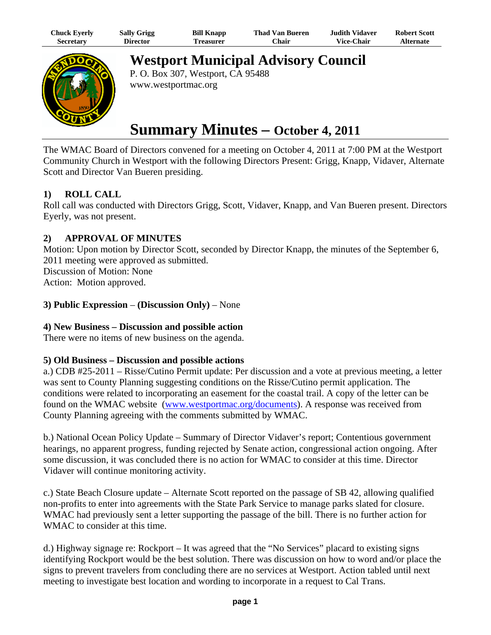| Chuck Eyerly     | <b>Sally Grigg</b> | <b>Bill Knapp</b> | Thad Van Bueren | Judith Vidaver.   | <b>Robert Scott</b> |
|------------------|--------------------|-------------------|-----------------|-------------------|---------------------|
| <b>Secretary</b> | Director           | Freasurer         | ⊡hair           | <b>Vice-Chair</b> | <b>Alternate</b>    |



**Westport Municipal Advisory Council**

P. O. Box 307, Westport, CA 95488 www.westportmac.org

# **Summary Minutes – October 4, 2011**

The WMAC Board of Directors convened for a meeting on October 4, 2011 at 7:00 PM at the Westport Community Church in Westport with the following Directors Present: Grigg, Knapp, Vidaver, Alternate Scott and Director Van Bueren presiding.

# **1) ROLL CALL**

Roll call was conducted with Directors Grigg, Scott, Vidaver, Knapp, and Van Bueren present. Directors Eyerly, was not present.

# **2) APPROVAL OF MINUTES**

Motion: Upon motion by Director Scott, seconded by Director Knapp, the minutes of the September 6, 2011 meeting were approved as submitted.

Discussion of Motion: None Action: Motion approved.

### **3) Public Expression** – **(Discussion Only)** – None

### **4) New Business – Discussion and possible action**

There were no items of new business on the agenda.

### **5) Old Business – Discussion and possible actions**

a.) CDB #25-2011 – Risse/Cutino Permit update: Per discussion and a vote at previous meeting, a letter was sent to County Planning suggesting conditions on the Risse/Cutino permit application. The conditions were related to incorporating an easement for the coastal trail. A copy of the letter can be found on the WMAC website (www.westportmac.org/documents). A response was received from County Planning agreeing with the comments submitted by WMAC.

b.) National Ocean Policy Update – Summary of Director Vidaver's report; Contentious government hearings, no apparent progress, funding rejected by Senate action, congressional action ongoing. After some discussion, it was concluded there is no action for WMAC to consider at this time. Director Vidaver will continue monitoring activity.

c.) State Beach Closure update – Alternate Scott reported on the passage of SB 42, allowing qualified non-profits to enter into agreements with the State Park Service to manage parks slated for closure. WMAC had previously sent a letter supporting the passage of the bill. There is no further action for WMAC to consider at this time.

d.) Highway signage re: Rockport – It was agreed that the "No Services" placard to existing signs identifying Rockport would be the best solution. There was discussion on how to word and/or place the signs to prevent travelers from concluding there are no services at Westport. Action tabled until next meeting to investigate best location and wording to incorporate in a request to Cal Trans.